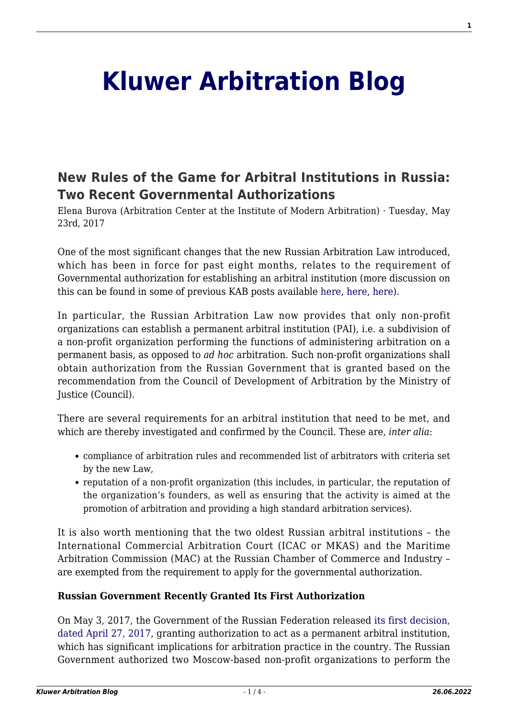# **[Kluwer Arbitration Blog](http://arbitrationblog.kluwerarbitration.com/)**

# **[New Rules of the Game for Arbitral Institutions in Russia:](http://arbitrationblog.kluwerarbitration.com/2017/05/23/new-rules-game-arbitral-institutions-russia-two-recent-governmental-authorizations/) [Two Recent Governmental Authorizations](http://arbitrationblog.kluwerarbitration.com/2017/05/23/new-rules-game-arbitral-institutions-russia-two-recent-governmental-authorizations/)**

Elena Burova (Arbitration Center at the Institute of Modern Arbitration) · Tuesday, May 23rd, 2017

One of the most significant changes that the new Russian Arbitration Law introduced, which has been in force for past eight months, relates to the requirement of Governmental authorization for establishing an arbitral institution (more discussion on this can be found in some of previous KAB posts available [here,](http://kluwerarbitrationblog.com/2016/01/07/the-russian-arbitration-reform-reached-its-new-development/) [here](http://kluwerarbitrationblog.com/2016/10/25/the-russian-arbitration-reform-a-road-to-more-certainty/), [here\)](http://kluwerarbitrationblog.com/2016/12/12/russian-laws-on-the-offensive-cross-border-effect-of-the-new-arbitration-regime-for-corporate-disputes/).

In particular, the Russian Arbitration Law now provides that only non-profit organizations can establish a permanent arbitral institution (PAI), i.e. a subdivision of a non-profit organization performing the functions of administering arbitration on a permanent basis, as opposed to *ad hoc* arbitration. Such non-profit organizations shall obtain authorization from the Russian Government that is granted based on the recommendation from the Council of Development of Arbitration by the Ministry of Justice (Council).

There are several requirements for an arbitral institution that need to be met, and which are thereby investigated and confirmed by the Council. These are, *inter alia*:

- compliance of arbitration rules and recommended list of arbitrators with criteria set by the new Law,
- reputation of a non-profit organization (this includes, in particular, the reputation of the organization's founders, as well as ensuring that the activity is aimed at the promotion of arbitration and providing a high standard arbitration services).

It is also worth mentioning that the two oldest Russian arbitral institutions – the International Commercial Arbitration Court (ICAC or MKAS) and the Maritime Arbitration Commission (MAC) at the Russian Chamber of Commerce and Industry – are exempted from the requirement to apply for the governmental authorization.

#### **Russian Government Recently Granted Its First Authorization**

On May 3, 2017, the Government of the Russian Federation released [its first decision,](http://government.ru/docs/27508/) [dated April 27, 2017,](http://government.ru/docs/27508/) granting authorization to act as a permanent arbitral institution, which has significant implications for arbitration practice in the country. The Russian Government authorized two Moscow-based non-profit organizations to perform the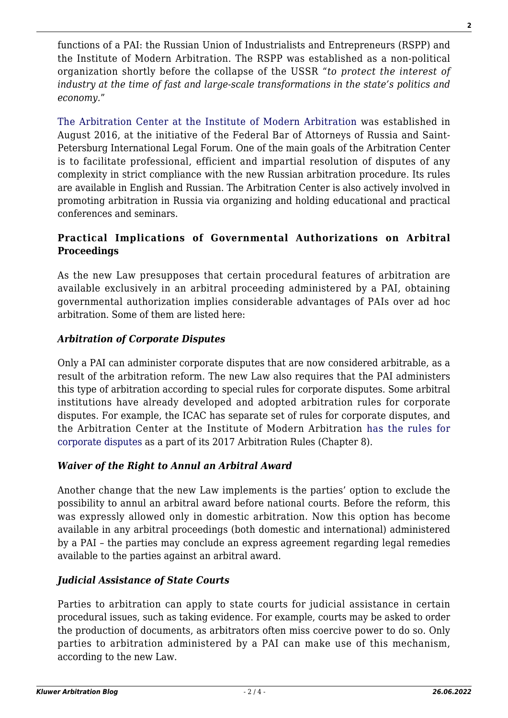functions of a PAI: the Russian Union of Industrialists and Entrepreneurs (RSPP) and the Institute of Modern Arbitration. The RSPP was established as a non-political organization shortly before the collapse of the USSR "*to protect the interest of industry at the time of fast and large-scale transformations in the state's politics and economy.*"

[The Arbitration Center at the Institute of Modern Arbitration](http://www.centerarbitr.ru/) was established in August 2016, at the initiative of the Federal Bar of Attorneys of Russia and Saint-Petersburg International Legal Forum. One of the main goals of the Arbitration Center is to facilitate professional, efficient and impartial resolution of disputes of any complexity in strict compliance with the new Russian arbitration procedure. Its rules are available in English and Russian. The Arbitration Center is also actively involved in promoting arbitration in Russia via organizing and holding educational and practical conferences and seminars.

#### **Practical Implications of Governmental Authorizations on Arbitral Proceedings**

As the new Law presupposes that certain procedural features of arbitration are available exclusively in an arbitral proceeding administered by a PAI, obtaining governmental authorization implies considerable advantages of PAIs over ad hoc arbitration. Some of them are listed here:

### *Arbitration of Corporate Disputes*

Only a PAI can administer corporate disputes that are now considered arbitrable, as a result of the arbitration reform. The new Law also requires that the PAI administers this type of arbitration according to special rules for corporate disputes. Some arbitral institutions have already developed and adopted arbitration rules for corporate disputes. For example, the ICAC has separate set of rules for corporate disputes, and the Arbitration Center at the Institute of Modern Arbitration [has the rules for](http://www.centerarbitr.ru/posts/1) [corporate disputes](http://www.centerarbitr.ru/posts/1) as a part of its 2017 Arbitration Rules (Chapter 8).

# *Waiver of the Right to Annul an Arbitral Award*

Another change that the new Law implements is the parties' option to exclude the possibility to annul an arbitral award before national courts. Before the reform, this was expressly allowed only in domestic arbitration. Now this option has become available in any arbitral proceedings (both domestic and international) administered by a PAI – the parties may conclude an express agreement regarding legal remedies available to the parties against an arbitral award.

# *Judicial Assistance of State Courts*

Parties to arbitration can apply to state courts for judicial assistance in certain procedural issues, such as taking evidence. For example, courts may be asked to order the production of documents, as arbitrators often miss coercive power to do so. Only parties to arbitration administered by a PAI can make use of this mechanism, according to the new Law.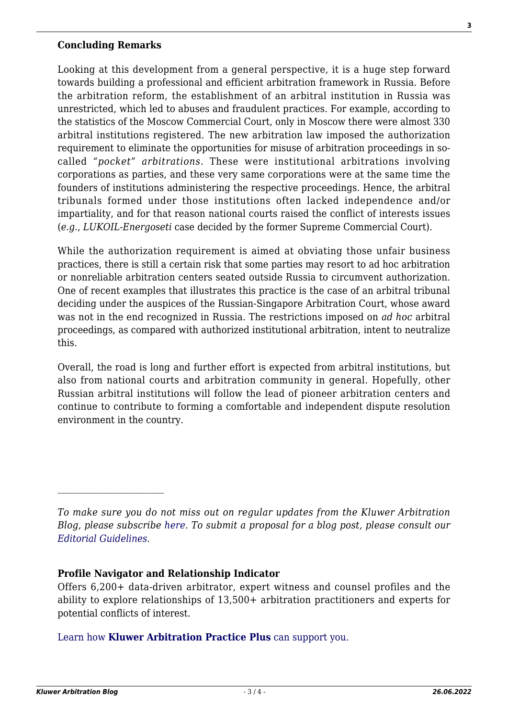#### **Concluding Remarks**

Looking at this development from a general perspective, it is a huge step forward towards building a professional and efficient arbitration framework in Russia. Before the arbitration reform, the establishment of an arbitral institution in Russia was unrestricted, which led to abuses and fraudulent practices. For example, according to the statistics of the Moscow Commercial Court, only in Moscow there were almost 330 arbitral institutions registered. The new arbitration law imposed the authorization requirement to eliminate the opportunities for misuse of arbitration proceedings in socalled *"pocket" arbitrations*. These were institutional arbitrations involving corporations as parties, and these very same corporations were at the same time the founders of institutions administering the respective proceedings. Hence, the arbitral tribunals formed under those institutions often lacked independence and/or impartiality, and for that reason national courts raised the conflict of interests issues (*e.g.*, *LUKOIL-Energoseti* case decided by the former Supreme Commercial Court).

While the authorization requirement is aimed at obviating those unfair business practices, there is still a certain risk that some parties may resort to ad hoc arbitration or nonreliable arbitration centers seated outside Russia to circumvent authorization. One of recent examples that illustrates this practice is the case of an arbitral tribunal deciding under the auspices of the Russian-Singapore Arbitration Court, whose award was not in the end recognized in Russia. The restrictions imposed on *ad hoc* arbitral proceedings, as compared with authorized institutional arbitration, intent to neutralize this.

Overall, the road is long and further effort is expected from arbitral institutions, but also from national courts and arbitration community in general. Hopefully, other Russian arbitral institutions will follow the lead of pioneer arbitration centers and continue to contribute to forming a comfortable and independent dispute resolution environment in the country.

#### **Profile Navigator and Relationship Indicator**

[Learn how](https://www.wolterskluwer.com/en/solutions/kluwerarbitration/practiceplus?utm_source=arbitrationblog&utm_medium=articleCTA&utm_campaign=article-banner) **[Kluwer Arbitration Practice Plus](https://www.wolterskluwer.com/en/solutions/kluwerarbitration/practiceplus?utm_source=arbitrationblog&utm_medium=articleCTA&utm_campaign=article-banner)** [can support you.](https://www.wolterskluwer.com/en/solutions/kluwerarbitration/practiceplus?utm_source=arbitrationblog&utm_medium=articleCTA&utm_campaign=article-banner)

*To make sure you do not miss out on regular updates from the Kluwer Arbitration Blog, please subscribe [here](http://arbitrationblog.kluwerarbitration.com/newsletter/). To submit a proposal for a blog post, please consult our [Editorial Guidelines.](http://arbitrationblog.kluwerarbitration.com/editorial-guidelines/)*

Offers 6,200+ data-driven arbitrator, expert witness and counsel profiles and the ability to explore relationships of 13,500+ arbitration practitioners and experts for potential conflicts of interest.